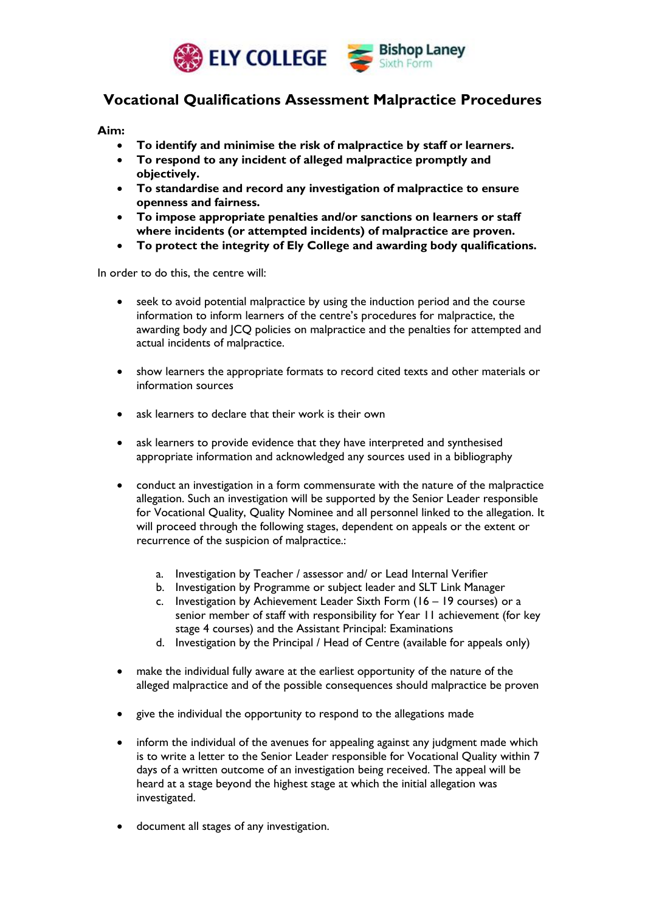

## **Vocational Qualifications Assessment Malpractice Procedures**

**Aim:**

- **To identify and minimise the risk of malpractice by staff or learners.**
- **To respond to any incident of alleged malpractice promptly and objectively.**
- **To standardise and record any investigation of malpractice to ensure openness and fairness.**
- **To impose appropriate penalties and/or sanctions on learners or staff where incidents (or attempted incidents) of malpractice are proven.**
- **To protect the integrity of Ely College and awarding body qualifications.**

In order to do this, the centre will:

- seek to avoid potential malpractice by using the induction period and the course information to inform learners of the centre's procedures for malpractice, the awarding body and JCQ policies on malpractice and the penalties for attempted and actual incidents of malpractice.
- show learners the appropriate formats to record cited texts and other materials or information sources
- ask learners to declare that their work is their own
- ask learners to provide evidence that they have interpreted and synthesised appropriate information and acknowledged any sources used in a bibliography
- conduct an investigation in a form commensurate with the nature of the malpractice allegation. Such an investigation will be supported by the Senior Leader responsible for Vocational Quality, Quality Nominee and all personnel linked to the allegation. It will proceed through the following stages, dependent on appeals or the extent or recurrence of the suspicion of malpractice.:
	- a. Investigation by Teacher / assessor and/ or Lead Internal Verifier
	- b. Investigation by Programme or subject leader and SLT Link Manager
	- c. Investigation by Achievement Leader Sixth Form (16 19 courses) or a senior member of staff with responsibility for Year 11 achievement (for key stage 4 courses) and the Assistant Principal: Examinations
	- d. Investigation by the Principal / Head of Centre (available for appeals only)
- make the individual fully aware at the earliest opportunity of the nature of the alleged malpractice and of the possible consequences should malpractice be proven
- give the individual the opportunity to respond to the allegations made
- inform the individual of the avenues for appealing against any judgment made which is to write a letter to the Senior Leader responsible for Vocational Quality within 7 days of a written outcome of an investigation being received. The appeal will be heard at a stage beyond the highest stage at which the initial allegation was investigated.
- document all stages of any investigation.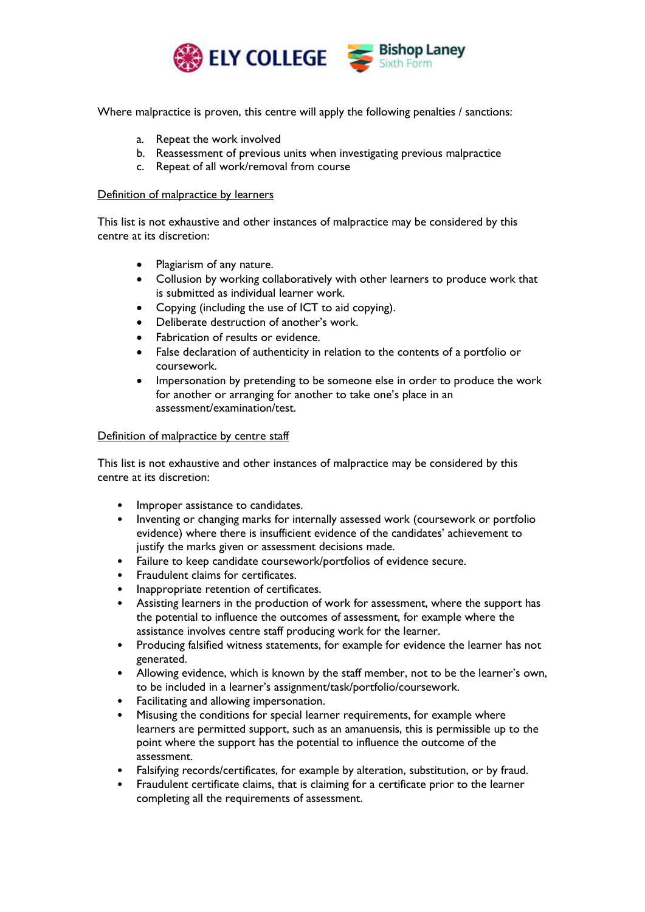

Where malpractice is proven, this centre will apply the following penalties / sanctions:

- a. Repeat the work involved
- b. Reassessment of previous units when investigating previous malpractice
- c. Repeat of all work/removal from course

## Definition of malpractice by learners

This list is not exhaustive and other instances of malpractice may be considered by this centre at its discretion:

- Plagiarism of any nature.
- Collusion by working collaboratively with other learners to produce work that is submitted as individual learner work.
- Copying (including the use of ICT to aid copying).
- Deliberate destruction of another's work.
- Fabrication of results or evidence.
- False declaration of authenticity in relation to the contents of a portfolio or coursework.
- Impersonation by pretending to be someone else in order to produce the work for another or arranging for another to take one's place in an assessment/examination/test.

## Definition of malpractice by centre staff

This list is not exhaustive and other instances of malpractice may be considered by this centre at its discretion:

- Improper assistance to candidates.
- Inventing or changing marks for internally assessed work (coursework or portfolio evidence) where there is insufficient evidence of the candidates' achievement to justify the marks given or assessment decisions made.
- Failure to keep candidate coursework/portfolios of evidence secure.
- Fraudulent claims for certificates.
- Inappropriate retention of certificates.
- Assisting learners in the production of work for assessment, where the support has the potential to influence the outcomes of assessment, for example where the assistance involves centre staff producing work for the learner.
- Producing falsified witness statements, for example for evidence the learner has not generated.
- Allowing evidence, which is known by the staff member, not to be the learner's own, to be included in a learner's assignment/task/portfolio/coursework.
- Facilitating and allowing impersonation.
- Misusing the conditions for special learner requirements, for example where learners are permitted support, such as an amanuensis, this is permissible up to the point where the support has the potential to influence the outcome of the assessment.
- Falsifying records/certificates, for example by alteration, substitution, or by fraud.
- Fraudulent certificate claims, that is claiming for a certificate prior to the learner completing all the requirements of assessment.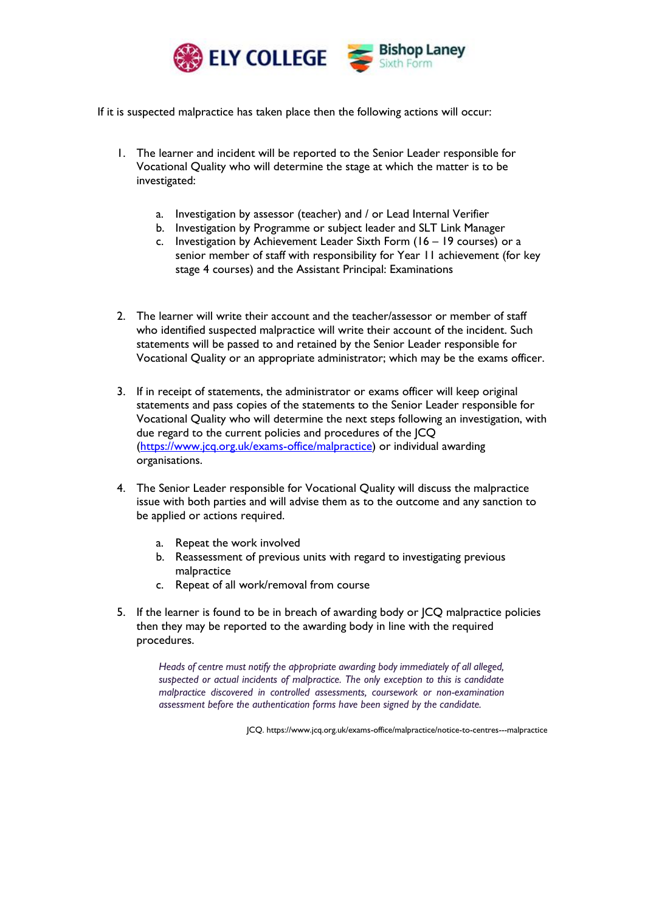

If it is suspected malpractice has taken place then the following actions will occur:

- 1. The learner and incident will be reported to the Senior Leader responsible for Vocational Quality who will determine the stage at which the matter is to be investigated:
	- a. Investigation by assessor (teacher) and / or Lead Internal Verifier
	- b. Investigation by Programme or subject leader and SLT Link Manager
	- c. Investigation by Achievement Leader Sixth Form (16 19 courses) or a senior member of staff with responsibility for Year 11 achievement (for key stage 4 courses) and the Assistant Principal: Examinations
- 2. The learner will write their account and the teacher/assessor or member of staff who identified suspected malpractice will write their account of the incident. Such statements will be passed to and retained by the Senior Leader responsible for Vocational Quality or an appropriate administrator; which may be the exams officer.
- 3. If in receipt of statements, the administrator or exams officer will keep original statements and pass copies of the statements to the Senior Leader responsible for Vocational Quality who will determine the next steps following an investigation, with due regard to the current policies and procedures of the JCQ [\(https://www.jcq.org.uk/exams-office/malpractice\)](https://www.jcq.org.uk/exams-office/malpractice) or individual awarding organisations.
- 4. The Senior Leader responsible for Vocational Quality will discuss the malpractice issue with both parties and will advise them as to the outcome and any sanction to be applied or actions required.
	- a. Repeat the work involved
	- b. Reassessment of previous units with regard to investigating previous malpractice
	- c. Repeat of all work/removal from course
- 5. If the learner is found to be in breach of awarding body or JCQ malpractice policies then they may be reported to the awarding body in line with the required procedures.

*Heads of centre must notify the appropriate awarding body immediately of all alleged, suspected or actual incidents of malpractice. The only exception to this is candidate malpractice discovered in controlled assessments, coursework or non-examination assessment before the authentication forms have been signed by the candidate.*

JCQ. https://www.jcq.org.uk/exams-office/malpractice/notice-to-centres---malpractice